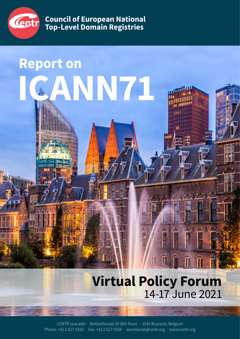

**Report on**

**Council of European National Top-Level Domain Registries**

**ICANN71**

# **Virtual Policy Forum** 14-17 June 2021

CENTR vzw/asbl · Belliardstraat 20 (6th floor) · 1040 Brussels, Belgium Phone: +32 2 627 5550 · Fax: +32 2 627 5559 · secretariat@centr.org · www.centr.org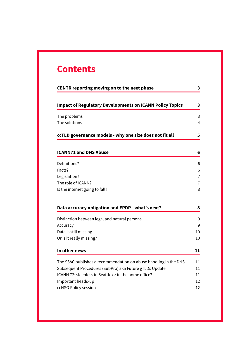# **Contents**

| CENTR reporting moving on to the next phase                      | 3      |
|------------------------------------------------------------------|--------|
| <b>Impact of Regulatory Developments on ICANN Policy Topics</b>  | 3      |
| The problems                                                     | 3      |
| The solutions                                                    | 4      |
| ccTLD governance models - why one size does not fit all          | 5      |
| <b>ICANN71 and DNS Abuse</b>                                     | 6      |
| Definitions?                                                     | 6      |
| Facts?                                                           | 6      |
| Legislation?                                                     | 7      |
| The role of ICANN?                                               | 7      |
| Is the internet going to fall?                                   | 8      |
| Data accuracy obligation and EPDP - what's next?                 | 8      |
| Distinction between legal and natural persons                    | 9      |
| Accuracy                                                         | 9      |
| Data is still missing                                            | 10     |
| Or is it really missing?                                         | 10     |
| In other news                                                    | 11     |
| The SSAC publishes a recommendation on abuse handling in the DNS |        |
|                                                                  | 11     |
| Subsequent Procedures (SubPro) aka Future gTLDs Update           | $11\,$ |
| ICANN 72: sleepless in Seattle or in the home office?            | 11     |
| Important heads-up                                               | 12     |
| ccNSO Policy session                                             | 12     |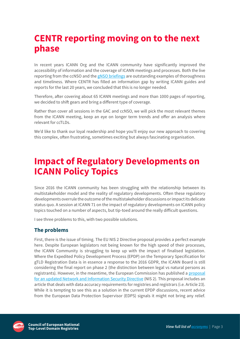# <span id="page-2-0"></span>**CENTR reporting moving on to the next phase**

In recent years ICANN Org and the ICANN community have significantly improved the accessibility of information and the coverage of ICANN meetings and processes. Both the live reporting from the ccNSO and the [gNSO briefings](https://go.icann.org/gnsobriefing) are outstanding examples of thoroughness and timeliness. Where CENTR has filled an information gap by writing ICANN guides and reports for the last 20 years, we concluded that this is no longer needed.

Therefore, after covering about 65 ICANN meetings and more than 1000 pages of reporting, we decided to shift gears and bring a different type of coverage.

Rather than cover all sessions in the GAC and ccNSO, we will pick the most relevant themes from the ICANN meeting, keep an eye on longer term trends and offer an analysis where relevant for ccTLDs.

We'd like to thank our loyal readership and hope you'll enjoy our new approach to covering this complex, often frustrating, sometimes exciting but always fascinating organisation.

### **Impact of Regulatory Developments on ICANN Policy Topics**

[Since 2016](https://eur-lex.europa.eu/legal-content/EN/TXT/?uri=CELEX%3A32016R0679) the ICANN community has been struggling with the relationship between its multistakeholder model and the reality of regulatory developments. Often these regulatory developments overrule the outcome of the multistakeholder discussions or impact its delicate status quo. A [session at ICANN 71](https://cdn.filestackcontent.com/content=t:attachment,f:%22Impact%20of%20Regulatory%20Developments%20on%20ICANN%20Policy%20Topics.pdf%22/f8keTZQOSdeqSKV2vTqo) on the impact of regulatory developments on ICANN policy topics touched on a number of aspects, but tip-toed around the really difficult questions.

I see three problems to this, with two possible solutions.

#### **The problems**

First, there is the issue of timing. The EU NIS 2 Directive proposal provides a perfect example here. Despite European legislators not being known for the high speed of their processes, the ICANN Community is struggling to keep up with the impact of finalised legislation. Where the Expedited Policy Development Process (EPDP) on the Temporary Specification for gTLD Registration Data is in essence a response to the 2016 GDPR, the ICANN Board is still considering the final report on phase 2 (the distinction between legal vs natural persons as registrants). However, in the meantime, the European Commission has published a [proposal](https://digital-strategy.ec.europa.eu/en/library/proposal-directive-measures-high-common-level-cybersecurity-across-union) [for an updated Network and Information Security Directive \(NIS 2](https://digital-strategy.ec.europa.eu/en/library/proposal-directive-measures-high-common-level-cybersecurity-across-union)). This proposal includes an article that deals with data accuracy requirements for registries and registrars (i.e. Article 23). While it is tempting to see this as a solution in the current EPDP discussions, recent advice from the European Data Protection Supervisor (EDPS) signals it might not bring any relief.

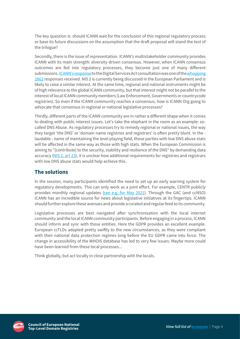<span id="page-3-0"></span>The key question is: should ICANN wait for the conclusion of this regional regulatory process or base its future discussions on the assumption that the draft proposal will stand the test of the trilogue?

Secondly, there is the issue of representation. ICANN's multistakeholder community provides ICANN with its main strength: diversity-driven consensus. However, when ICANN consensus outcomes are fed into regulatory processes, they become just one of many different submissions. [ICANN's response](https://www.icann.org/en/system/files/files/icann-org-responses-dsa-consultation-10sep20-en.pdf) to the Digital Services Act consultation was one of the [whopping](https://digital-strategy.ec.europa.eu/en/summary-report-open-public-consultation-digital-services-act-package) [2863](https://digital-strategy.ec.europa.eu/en/summary-report-open-public-consultation-digital-services-act-package) responses received. NIS 2 is currently being discussed in the European Parliament and is likely to raise a similar interest. At the same time, regional and national instruments might be of high relevance to the global ICANN community, but that interest might not be parallel to the interest of local ICANN community members (Law Enforcement, Governments or countrycode registries). So even if the ICANN community reaches a consensus, how is ICANN Org going to advocate that consensus in regional or national legislative processes?

Thirdly, different parts of the ICANN community are in rather a different shape when it comes to dealing with public interest issues. Let's take the elephant in the room as an example: socalled DNS Abuse. As regulatory processes try to remedy regional or national issues, the way they target 'the DNS' or 'domain name registries and registrars' is often pretty blunt. In the laudable - name of maintaining the level playing field, those parties with low DNS abuse stats will be affected in the same way as those with high stats. When the European Commission is aiming to "[contribute] to the security, stability and resilience of the DNS" by demanding data accuracy ([NIS 2, art 23\)](https://ec.europa.eu/newsroom/dae/document.cfm?doc_id=72166), it is unclear how additional requirements for registries and registrars with low DNS abuse stats would help achieve this.

### **The solutions**

In the session, many participants identified the need to set up an early warning system for regulatory developments. This can only work as a joint effort. For example, CENTR publicly provides monthly regional updates [\(see e.g. for May 2021](https://centr.org/news/eu-updates/may2021.html)). Through the GAC (and ccNSO) ICANN has an incredible source for news about legislative initiatives at its fingertips. ICANN should further explore these avenues and provide a curated and regular feed to its community.

Legislative processes are best navigated after synchronisation with the local internet community and the local ICANN community participants. Before engaging in a process, ICANN should inform and sync with those entities. Here the GDPR provides an excellent example. European ccTLDs adapted pretty swiftly to the new circumstances, as they were compliant with their national data protection regimes long before the EU GDPR came into force. The change in accessibility of the WHOIS database has led to very few issues. Maybe more could have been learned from these local processes...

Think globally, but act locally in close partnership with the locals.

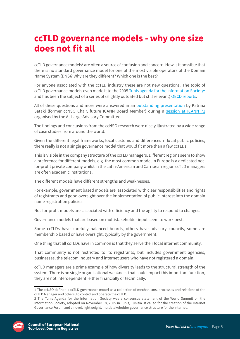### <span id="page-4-0"></span>**ccTLD governance models - why one size does not fit all**

ccTLD governance models<sup>1</sup> are often a source of confusion and concern. How is it possible that there is no standard governance model for one of the most visible operators of the Domain Name System (DNS)? Why are they different? Which one is the best?

For anyone associated with the ccTLD industry these are not new questions. The topic of ccTLD governance models even made it to the 2005 [Tunis agenda for the Information Society](https://www.itu.int/net/wsis/docs2/tunis/off/6rev1.html)<sup>2</sup> and has been the subject of a series of (slightly outdated but still relevant) [OECD reports.](https://www.oecd.org/sti/ieconomy/37730629.pdf)

All of these questions and more were answered in an [outstanding presentation](https://community.icann.org/download/attachments/164628071/About_ccTLDs-ALAC-final%20Katrina.pdf?version=1&modificationDate=1623739186000&api=v2) by Katrina Sataki (former ccNSO Chair, future ICANN Board Member) during a [session at ICANN 71](https://community.icann.org/display/atlarge/At-Large+Meetings+-+Tuesday%2C+15+June+2021) organised by the At-Large Advisory Committee.

The findings and conclusions from the ccNSO research were nicely illustrated by a wide range of case studies from around the world.

Given the different legal frameworks, local customs and differences in local public policies, there really is not a single governance model that would fit more than a few ccTLDs.

This is visible in the company structure of the ccTLD managers. Different regions seem to show a preference for different models, e.g. the most common model in Europe is a dedicated notfor-profit private company whilst in the Latin-American and Carribean region ccTLD managers are often academic institutions.

The different models have different strengths and weaknesses.

For example, government based models are associated with clear responsibilities and rights of registrants and good oversight over the implementation of public interest into the domain name registration policies.

Not-for-profit models are associated with efficiency and the agility to respond to changes.

Governance models that are based on multistakeholder input seem to work best.

Some ccTLDs have carefully balanced boards, others have advisory councils, some are membership based or have oversight, typically by the government.

One thing that all ccTLDs have in common is that they serve their local internet community.

That community is not restricted to its registrants, but includes government agencies, businesses, the telecom industry and internet users who have not registered a domain.

ccTLD managers are a prime example of how diversity leads to the structural strength of the system. There is no single organisational weakness that could impact this important function, they are not interdependent, either financially or technically.

<sup>2</sup> The Tunis Agenda for the Information Society was a consensus statement of the World Summit on the Information Society, adopted on November 18, 2005 in Tunis, Tunisia. It called for the creation of the Internet Governance Forum and a novel, lightweight, multistakeholder governance structure for the internet.



<sup>1</sup> The ccNSO defined a ccTLD governance model as a collection of mechanisms, processes and relations of the ccTLD Manager and others, to control and operate the ccTLD.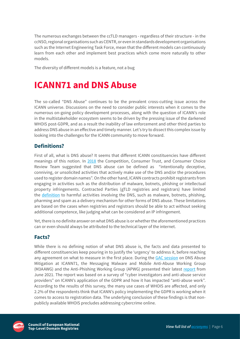<span id="page-5-0"></span>The numerous exchanges between the ccTLD managers - regardless of their structure - in the ccNSO, regional organisations such as CENTR, or even in standards development organisations such as the Internet Engineering Task Force, mean that the different models can continuously learn from each other and implement best practices which come more naturally to other models.

The diversity of different models is a feature, not a bug

# **ICANN71 and DNS Abuse**

The so-called "DNS Abuse" continues to be the prevalent cross-cutting issue across the ICANN universe. Discussions on the need to consider public interests when it comes to the numerous on-going policy development processes, along with the question of ICANN's role in the multistakeholder ecosystem seems to be driven by the pressing issue of the darkened WHOIS post-GDPR, and as a result the inability of law enforcement and other third parties to address DNS abuse in an effective and timely manner. Let's try to dissect this complex issue by looking into the challenges for the ICANN community to move forward.

### **Definitions?**

First of all, what is DNS abuse? It seems that different ICANN constituencies have different meanings of this notion. In [2018](https://www.icann.org/en/system/files/files/cct-final-08sep18-en.pdf) the Competition, Consumer Trust, and Consumer Choice Review Team suggested that DNS abuse can be defined as "intentionally deceptive, conniving, or unsolicited activities that actively make use of the DNS and/or the procedures used to register domain names". On the other hand, ICANN contracts prohibit registrants from engaging in activities such as the distribution of malware, botnets, phishing or intellectual property infringements. Contracted Parties (gTLD registries and registrars) have limited the [definition](https://www.rysg.info/wp-content/uploads/comments/ec8e4c_3001326c70194bd4a849413e1f32fc31.pdf) to harmful activities involving the DNS, such as malware, botnets, phishing, pharming and spam as a delivery mechanism for other forms of DNS abuse. These limitations are based on the cases when registries and registrars should be able to act without seeking additional competence, like judging what can be considered an IP infringement.

Yet, there is no definite answer on what DNS abuse is or whether the aforementioned practices can or even should always be attributed to the technical layer of the internet.

### **Facts?**

While there is no defining notion of what DNS abuse is, the facts and data presented to different constituencies keep pouring in to justify the 'urgency' to address it, before reaching any agreement on what to measure in the first place. During the [GAC session](https://cdn.filestackcontent.com/content=t:attachment,f:%22I71_RTM-Mon14June2021__GAC%20Disc%20on%20DNS%20Abuse%20Mitigation-en.pdf%22/2Ni2eCP7R3KFAm1qeope) on DNS Abuse Mitigation at ICANN71, the Messaging Malware and Mobile Anti-Abuse Working Group (M3AAWG) and the Anti-Phishing Working Group (APWG) presented their latest [report](https://www.m3aawg.org/sites/default/files/m3aawg_apwg_whois_user_survey_report_2021.pdf) from June 2021. The report was based on a survey of "cyber investigators and anti-abuse service providers" on ICANN's application of the GDPR and how it has impacted "anti-abuse work". According to the results of this survey, the many use cases of WHOIS are affected, and only 2.2% of the respondents think that ICANN's policy implementing the GDPR is working when it comes to access to registration data. The underlying conclusion of these findings is that nonpublicly available WHOIS precludes addressing cybercrime online.

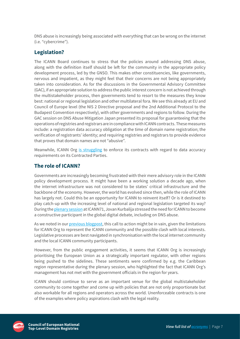<span id="page-6-0"></span>DNS abuse is increasingly being associated with everything that can be wrong on the internet (i.e. "cybercrime").

### **Legislation?**

The ICANN Board continues to stress that the policies around addressing DNS abuse, along with the definition itself should be left for the community in the appropriate policy development process, led by the GNSO. This makes other constituencies, like governments, nervous and impatient, as they might feel that their concerns are not being appropriately taken into consideration. As for the discussions in the Governmental Advisory Committee (GAC), if an appropriate solution to address the public interest concern is not achieved through the multistakeholder process, then governments tend to resort to the measures they know best: national or regional legislation and other multilateral fora. We see this already at EU and Council of Europe level (the NIS 2 Directive proposal and the 2nd Additional Protocol to the Budapest Convention respectively), with other governments and regions to follow. During the GAC session on DNS Abuse Mitigation Japan presented its proposal for guaranteeing that the operations of registries and registrars are in compliance with ICANN contracts. These measures include: a registration data accuracy obligation at the time of domain name registration; the verification of registrants' identity; and requiring registries and registrars to provide evidence that proves that domain names are not "abusive".

Meanwhile, ICANN Org [is struggling](https://www.icann.org/en/blogs/details/enforcement-of-registration-data-accuracy-obligations-before-and-after-gdpr-14-6-2021-en) to enforce its contracts with regard to data accuracy requirements on its Contracted Parties.

### **The role of ICANN?**

Governments are increasingly becoming frustrated with their mere advisory role in the ICANN policy development process. It might have been a working solution a decade ago, when the internet infrastructure was not considered to be states' critical infrastructure and the backbone of the economy. However, the world has evolved since then, while the role of ICANN has largely not. Could this be an opportunity for ICANN to reinvent itself? Or is it destined to play catch-up with the increasing level of national and regional legislation targeted its way? During the [plenary session](https://cdn.filestackcontent.com/content=t:attachment,f:%22ICANN) at ICANN71, Jovan Kurbalija stressed the need for ICANN to become a constructive participant in the global digital debate, including on DNS abuse.

As we noted in our [previous blogpost](https://centr.org/news/blog/icann71-regulatory-developments.html), this call to action might be in vain, given the limitations for ICANN Org to represent the ICANN community and the possible clash with local interests. Legislative processes are best navigated in synchronisation with the local internet community and the local ICANN community participants.

However, from the public engagement activities, it seems that ICANN Org is increasingly prioritising the European Union as a strategically important regulator, with other regions being pushed to the sidelines. These sentiments were confirmed by e.g. the Caribbean region representative during the plenary session, who highlighted the fact that ICANN Org's management has not met with the government officials in the region for years.

ICANN should continue to serve as an important venue for the global multistakeholder community to come together and come up with policies that are not only proportionate but also workable for all regions and operators across the world. Unenforceable contracts is one of the examples where policy aspirations clash with the legal reality.

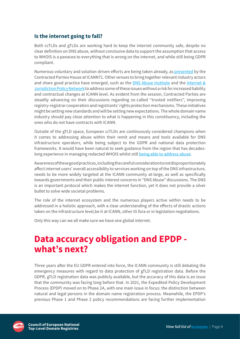### <span id="page-7-0"></span>**Is the internet going to fall?**

Both ccTLDs and gTLDs are working hard to keep the internet community safe, despite no clear definition on DNS abuse, without conclusive data to support the assumption that access to WHOIS is a panacea to everything that is wrong on the internet, and while still being GDPR compliant.

Numerous voluntary and solution-driven efforts are being taken already, as [presented](https://cdn.filestackcontent.com/content=t:attachment,f:%22ICANN71%20CPH%20DNS%20Abuse%20Community%20Outreach%20Slides-2.pdf%22/569IC2FVTjOT9OQwDEgk) by the Contracted Parties House at ICANN71. Other venues to bring together relevant industry actors and share good practice have emerged, such as the [DNS Abuse Institute](https://dnsabuseinstitute.org/the-dns-abuse-institute-roadmap/) and the [Internet &](https://www.internetjurisdiction.net/domains/toolkit) [Jurisdiction Policy Network](https://www.internetjurisdiction.net/domains/toolkit) to address some of these issues without a risk for increased liability and contractual changes at ICANN level. As evident from the session, Contracted Parties are steadily advancing on their discussions regarding so-called "trusted notifiers", improving registry-registrar cooperation and registrants' rights protection mechanisms. These initiatives might be setting new standards and will be setting new expectations. The whole domain name industry should pay close attention to what is happening in this constituency, including the ones who do not have contracts with ICANN.

Outside of the gTLD space, European ccTLDs are continuously considered champions when it comes to addressing abuse within their remit and means and tools available for DNS infrastructure operators, while being subject to the GDPR and national data protection frameworks. It would have been natural to seek guidance from the region that has decadeslong experience in managing redacted WHOIS whilst still [being able to address abuse](https://centr.org/news/blog/registries-and-covid-abuse.html).

Awareness of these good practices, including the careful consideration to not disproportionately affect internet users' overall accessibility to services working on top of the DNS infrastructure, needs to be more widely targeted at the ICANN community at-large, as well as specifically towards governments and their public interest concerns in "DNS Abuse" discussions. The DNS is an important protocol which makes the internet function, yet it does not provide a silver bullet to solve wide societal problems.

The role of the internet ecosystem and the numerous players active within needs to be addressed in a holistic approach, with a clear understanding of the effects of drastic actions taken on the infrastructure level,be it at ICANN, other IG fora or in legislation negotiations.

Only this way can we all make sure we have one global internet.

### **Data accuracy obligation and EPDP what's next?**

Three years after the EU GDPR entered into force, the ICANN community is still debating the emergency measures with regard to data protection of gTLD registration data. Before the GDPR, gTLD registration data was publicly available, but the accuracy of this data is an issue that the community was facing long before that. In 2021, the Expedited Policy Development Process (EPDP) moved on to Phase 2A, with one main issue in focus: the distinction between natural and legal persons in the domain name registration process. Meanwhile, the EPDP's previous Phase 1 and Phase 2 policy recommendations are facing further implementation

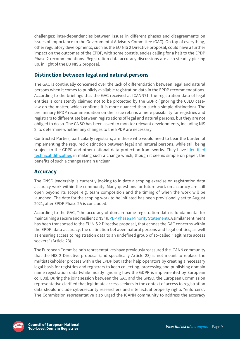<span id="page-8-0"></span>challenges: inter-dependencies between issues in different phases and disagreements on issues of importance to the Governmental Advisory Committee (GAC). On top of everything, other regulatory developments, such as the EU NIS 2 Directive proposal, could have a further impact on the outcomes of the EPDP, with some constituencies calling for a halt to the EPDP Phase 2 recommendations. Registration data accuracy discussions are also steadily picking up, in light of the EU NIS 2 proposal.

### **Distinction between legal and natural persons**

The GAC is continually concerned over the lack of differentiation between legal and natural persons when it comes to publicly available registration data in the EPDP recommendations. According to the briefings that the GAC received at ICANN71, the registration data of legal entities is consistently claimed not to be protected by the GDPR (ignoring the CJEU caselaw on the matter, which confirms it is more nuanced than such a simple distinction). The preliminary EPDP recommendation on the issue retains a mere possibility for registries and registrars to differentiate between registrations of legal and natural persons, but they are not obliged to do so. The GNSO has been asked to monitor relevant developments, including NIS 2, to determine whether any changes to the EPDP are necessary.

Contracted Parties, particularly registrars, are those who would need to bear the burden of implementing the required distinction between legal and natural persons, while still being subject to the GDPR and other national data protection frameworks. They have [identified](https://www.circleid.com/posts/20210607-privacy-legal-vs-natural-persons-and-never-ending-icann-epdp/) [technical difficulties](https://www.circleid.com/posts/20210607-privacy-legal-vs-natural-persons-and-never-ending-icann-epdp/) in making such a change which, though it seems simple on paper, the benefits of such a change remain unclear.

### **Accuracy**

The GNSO leadership is currently looking to initiate a scoping exercise on registration data accuracy work within the community. Many questions for future work on accuracy are still open beyond its scope: e.g. team composition and the timing of when the work will be launched. The date for the scoping work to be initiated has been provisionally set to August 2021, after EPDP Phase 2A is concluded.

According to the GAC, "the accuracy of domain name registration data is fundamental for maintaining a secure and resilient DNS" [\(EPDP Phase 2 Minority Statement\)](https://mm.icann.org/pipermail/gnso-epdp-team/attachments/20200824/aeeab8dd/gac-minority-statement-epdp-phase2-24aug20-0001.pdf). A similar sentiment has been transposed to the EU NIS 2 Directive proposal, that echoes the GAC concerns within the EPDP: data accuracy, the distinction between natural persons and legal entities, as well as ensuring access to registration data to an undefined group of so-called "legitimate access seekers" (Article 23).

The European Commission's representatives have previously reassured the ICANN community that the NIS 2 Directive proposal (and specifically Article 23) is not meant to replace the multistakeholder process within the EPDP but rather help operators by creating a necessary legal basis for registries and registrars to keep collecting, processing and publishing domain name registration data (while mostly ignoring how the GDPR is implemented by European ccTLDs). During the joint session between the GAC and the GNSO, the European Commission representative clarified that legitimate access seekers in the context of access to registration data should include cybersecurity researchers and intellectual property rights "enforcers". The Commission representative also urged the ICANN community to address the accuracy

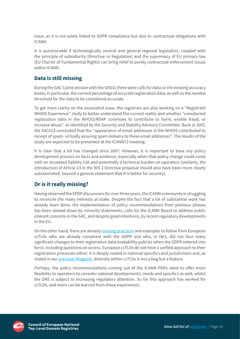<span id="page-9-0"></span>issue, as it is not solely linked to GDPR compliance but also to contractual obligations with ICANN.

It is questionable if technologically neutral and general regional legislation, coupled with the principle of subsidiarity (Directive vs Regulation) and the supremacy of EU primary law (EU Charter of Fundamental Rights) can bring relief to purely contractual enforcement issues within ICANN.

### **Data is still missing**

During the GAC's joint session with the GNSO, there were calls for data on the existing accuracy levels, in particular, the current percentage of accurate registration data, as well as the needed threshold for the data to be considered accurate.

To get more clarity on the associated issue, the registrars [are also working](https://cdn.filestackcontent.com/content=t:attachment,f:%22WHOIS%20Registrant%20Experience%20ICANN%2071_final.pdf%22/xqhYxUACQD6cGKUfYrQo) on a "Registrant WHOIS Experience" study to better understand the current reality and whether "unredacted registration data in the WHOIS/RDAP continues to contribute to harm, enable fraud, or increase abuse", as identified by the Security and Stability Advisory Committee. Back in 2007, the [SAC023](https://www.icann.org/en/system/files/files/sac-023-en.pdf) concluded that the "appearance of email addresses in the WHOIS contributed to receipt of spam- virtually assuring spam delivery to these email addresses". The results of the study are expected to be presented at the ICANN72 meeting.

It is clear that a lot has changed since 2007. However, it is important to base any policy development process on facts and evidence, especially when that policy change could come with an increased liability risk and potentially a technical burden on operators (similarly, the introduction of Article 23 in the NIS 2 Directive proposal should also have been more clearly substantiated, beyond a general statement that it is better for security).

### **Or is it really missing?**

Having observed the EPDP discussions for over three years, the ICANN community is struggling to reconcile the many interests at stake. Despite the fact that a lot of substantial work has already been done, the implementation of policy recommendations from previous phases has been slowed down by minority statements, calls for the ICANN Board to address public interest concerns in the GAC, and despite good intentions, by recent regulatory developments in the EU.

On the other hand, there are already [existing practices](https://centr.org/library/library/external-event/whois-status-and-the-impact-of-gdpr.html) and examples to follow from European ccTLDs who are already compliant with the GDPR and who, in fact, did not face many significant changes to their registration data availability policies when the GDPR entered into force, including questions on access. European ccTLDs do not have a unified approach to their registration processes either: it is deeply rooted in national specifics and jurisdictions and, as stated in our [previous blogpost](https://centr.org/news/blog/icann71-cctld-governance.html), diversity within ccTLDs is not a bug but a feature.

Perhaps, the policy recommendations coming out of the ICANN PDPs need to offer more flexibility to operators to consider national developments, needs and specifics as well, whilst the DNS is subject to increasing regulatory attention. So far this approach has worked for ccTLDs, and more can be learned from these experiences.

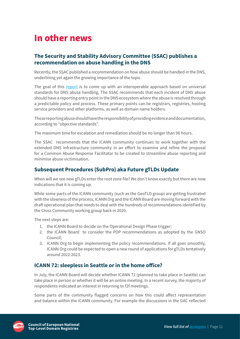# <span id="page-10-0"></span>**In other news**

### **The Security and Stability Advisory Committee (SSAC) publishes a recommendation on abuse handling in the DNS**

Recently, the SSAC published a recommendation on how abuse should be handled in the DNS, underlining yet again the growing importance of the topic.

The goal of this [report](https://www.icann.org/en/system/files/files/sac-115-en.pdf) is to come up with an interoperable approach based on universal standards for DNS abuse handling. The SSAC recommends that each incident of DNS abuse should have a reporting entry point in the DNS ecosystem where the abuse is resolved through a predictable policy and process. These primary points can be registrars, registries, hosting service providers and other platforms, as well as domain name holders.

Those reporting abuse should have the responsibility of providing evidence and documentation, according to "objective standards".

The maximum time for escalation and remediation should be no longer than 96 hours.

The SSAC recommends that the ICANN community continues to work together with the extended DNS infrastructure community in an effort to examine and refine the proposal for a Common Abuse Response Facilitator to be created to streamline abuse reporting and minimise abuse victimisation.

#### **Subsequent Procedures (SubPro) aka Future gTLDs Update**

When will we see new gTLDs enter the root zone file? We don't know exactly but there are now indications that it is coming up.

While some parts of the ICANN community (such as the GeoTLD group) are getting frustrated with the slowness of the process, ICANN Org and the ICANN Board are moving forward with the draft operational plan that needs to deal with the hundreds of recommendations identified by the Cross Community working group back in 2020.

The next steps are:

- 1. the ICANN Board to decide on the Operational Design Phase trigger;
- 2. the ICANN Board to consider the PDP recommendations as adopted by the GNSO Council;
- 3. ICANN Org to begin implementing the policy recommendations. If all goes smoothly, ICANN Org could be expected to open a new round of applications for gTLDs tentatively around 2022-2023.

#### **ICANN 72: sleepless in Seattle or in the home office?**

In July, the ICANN Board will decide whether ICANN 72 (planned to take place in Seattle) can take place in person or whether it will be an online meeting. In a recent survey, the majority of respondents indicated an interest in returning to f2f meetings.

Some parts of the community flagged concerns on how this could affect representation and balance within the ICANN community. For example the discussions in the GAC reflected

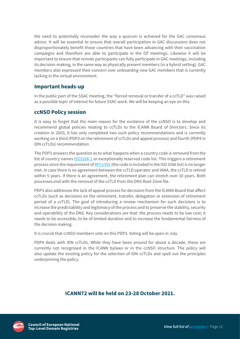<span id="page-11-0"></span>the need to potentially reconsider the way a quorum is achieved for the GAC consensus advice. It will be essential to ensure that overall participation in GAC discussions does not disproportionately benefit those countries that have been advancing with their vaccination campaigns and therefore are able to participate in the f2f meetings. Likewise it will be important to ensure that remote participants can fully participate in GAC meetings, including its decision-making, in the same way as physically present members (in a hybrid setting). GAC members also expressed their concern over onboarding new GAC members that is currently lacking in the virtual environment.

### **Important heads-up**

In the public part of the SSAC meeting, the "forced removal or transfer of a ccTLD" was raised as a possible topic of interest for future SSAC work. We will be keeping an eye on this.

### **ccNSO Policy session**

It is easy to forget that the main reason for the existence of the ccNSO is to develop and recommend global policies relating to ccTLDs to the ICANN Board of Directors. Since its creation in 2003, it has only completed two such policy recommendations and is currently working on a third (PDP3 on the retirement of ccTLDs and appeal process) and fourth (PDP4 in IDN ccTLDs) recommendation .

The PDP3 answers the question as to what happens when a country code is removed from the list of country names [ISO3166-1](https://nl.wikipedia.org/wiki/ISO_3166-1) or exceptionally reserved code list. This triggers a retirement process since the requirement of [RFC1591](https://datatracker.ietf.org/doc/rfc1591/) (the code is included in the ISO 3166 list) is no longer met. In case there is no agreement between the ccTLD operator and IANA, the ccTLD is retired within 5 years. If there is an agreement, the retirement plan can stretch over 10 years. Both processes end with the removal of the ccTLD from the DNS Root Zone file.

PDP3 also addresses the lack of appeal process for decisions from the ICANN Board that affect ccTLDs (such as decisions on the retirement, transfer, delegation or extension of retirement period of a ccTLD). The goal of introducing a review mechanism for such decisions is to increase the predictability and legitimacy of the process and to preserve the stability, security and operability of the DNS. Key considerations are that: the process needs to be low cost; it needs to be accessible, to be of limited duration and to increase the fundamental fairness of the decision making.

It is crucial that ccNSO members vote on this PDP3. Voting will be open in July.

PDP4 deals with IDN ccTLDs. While they have been around for about a decade, these are currently not recognised in the ICANN bylaws or in the ccNSO structure. The policy will also update the existing policy for the selection of IDN ccTLDs and spell out the principles underpinning the policy.

### **ICANN72 will be held on 23-28 October 2021.**